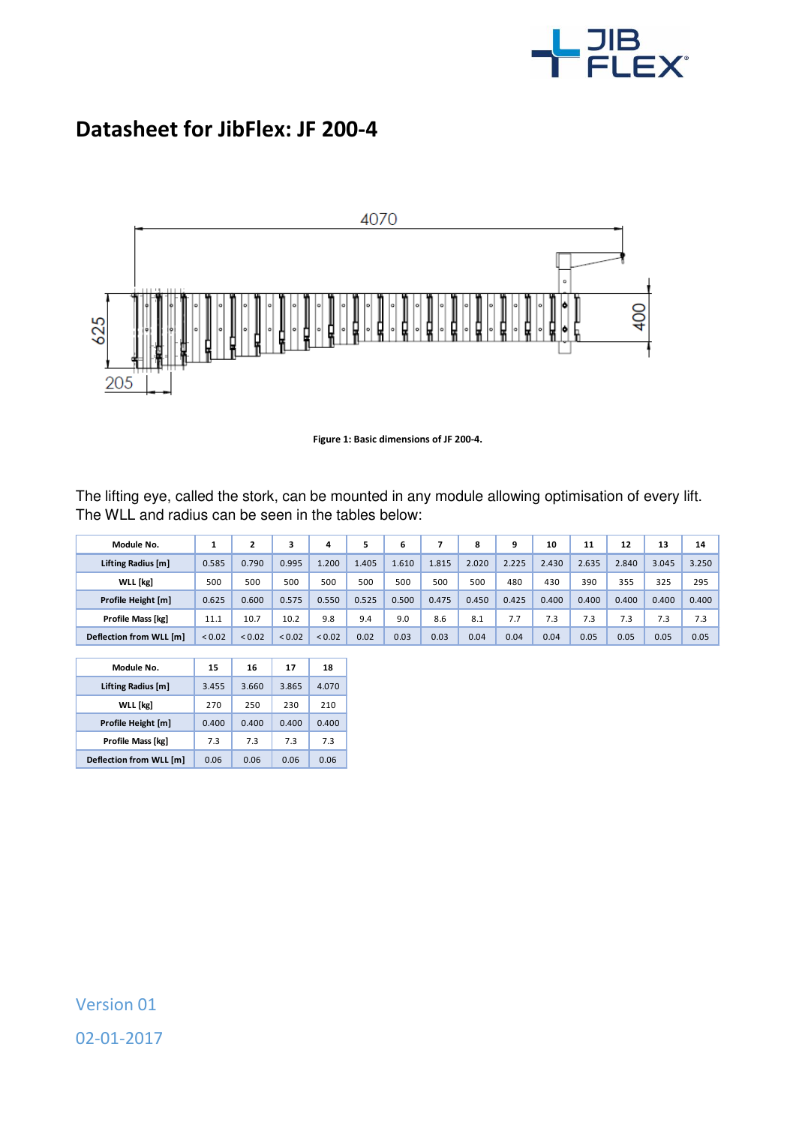

## **Datasheet for JibFlex: JF 200-4**



**Figure 1: Basic dimensions of JF 200-4.** 

The lifting eye, called the stork, can be mounted in any module allowing optimisation of every lift. The WLL and radius can be seen in the tables below:

| Module No.              |        | 2           |             | 4           |       | 6     |       | 8     | 9     | 10    | 11    | 12    | 13    | 14    |
|-------------------------|--------|-------------|-------------|-------------|-------|-------|-------|-------|-------|-------|-------|-------|-------|-------|
| Lifting Radius [m]      | 0.585  | 0.790       | 0.995       | 1.200       | 1.405 | 1.610 | 1.815 | 2.020 | 2.225 | 2.430 | 2.635 | 2.840 | 3.045 | 3.250 |
| WLL [kg]                | 500    | 500         | 500         | 500         | 500   | 500   | 500   | 500   | 480   | 430   | 390   | 355   | 325   | 295   |
| Profile Height [m]      | 0.625  | 0.600       | 0.575       | 0.550       | 0.525 | 0.500 | 0.475 | 0.450 | 0.425 | 0.400 | 0.400 | 0.400 | 0.400 | 0.400 |
| Profile Mass [kg]       | 11.1   | 10.7        | 10.2        | 9.8         | 9.4   | 9.0   | 8.6   | 8.1   | 7.7   | 7.3   | 7.3   | 7.3   | 7.3   | 7.3   |
| Deflection from WLL [m] | < 0.02 | ${}_{0.02}$ | ${}_{0.02}$ | ${}_{0.02}$ | 0.02  | 0.03  | 0.03  | 0.04  | 0.04  | 0.04  | 0.05  | 0.05  | 0.05  | 0.05  |

I

| Module No.              | 15    | 16    | 17    | 18    |
|-------------------------|-------|-------|-------|-------|
| Lifting Radius [m]      | 3.455 | 3.660 | 3.865 | 4.070 |
| <b>WLL</b> [kg]         | 270   | 250   | 230   | 210   |
| Profile Height [m]      | 0.400 | 0.400 | 0.400 | 0.400 |
| Profile Mass [kg]       | 73    | 73    | 73    | 7.3   |
| Deflection from WLL [m] | 0.06  | 0.06  | 0.06  | 0.06  |